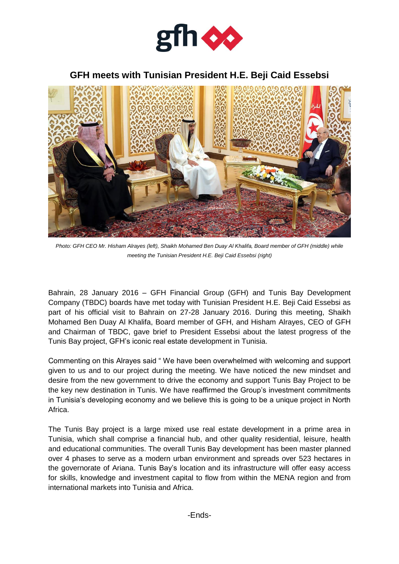

## **GFH meets with Tunisian President H.E. Beji Caid Essebsi**



*Photo: GFH CEO Mr. Hisham Alrayes (left), Shaikh Mohamed Ben Duay Al Khalifa, Board member of GFH (middle) while meeting the Tunisian President H.E. Beji Caid Essebsi (right)*

Bahrain, 28 January 2016 – GFH Financial Group (GFH) and Tunis Bay Development Company (TBDC) boards have met today with Tunisian President H.E. Beji Caid Essebsi as part of his official visit to Bahrain on 27-28 January 2016. During this meeting, Shaikh Mohamed Ben Duay Al Khalifa, Board member of GFH, and Hisham Alrayes, CEO of GFH and Chairman of TBDC, gave brief to President Essebsi about the latest progress of the Tunis Bay project, GFH's iconic real estate development in Tunisia.

Commenting on this Alrayes said " We have been overwhelmed with welcoming and support given to us and to our project during the meeting. We have noticed the new mindset and desire from the new government to drive the economy and support Tunis Bay Project to be the key new destination in Tunis. We have reaffirmed the Group's investment commitments in Tunisia's developing economy and we believe this is going to be a unique project in North Africa.

The Tunis Bay project is a large mixed use real estate development in a prime area in Tunisia, which shall comprise a financial hub, and other quality residential, leisure, health and educational communities. The overall Tunis Bay development has been master planned over 4 phases to serve as a modern urban environment and spreads over 523 hectares in the governorate of Ariana. Tunis Bay's location and its infrastructure will offer easy access for skills, knowledge and investment capital to flow from within the MENA region and from international markets into Tunisia and Africa.